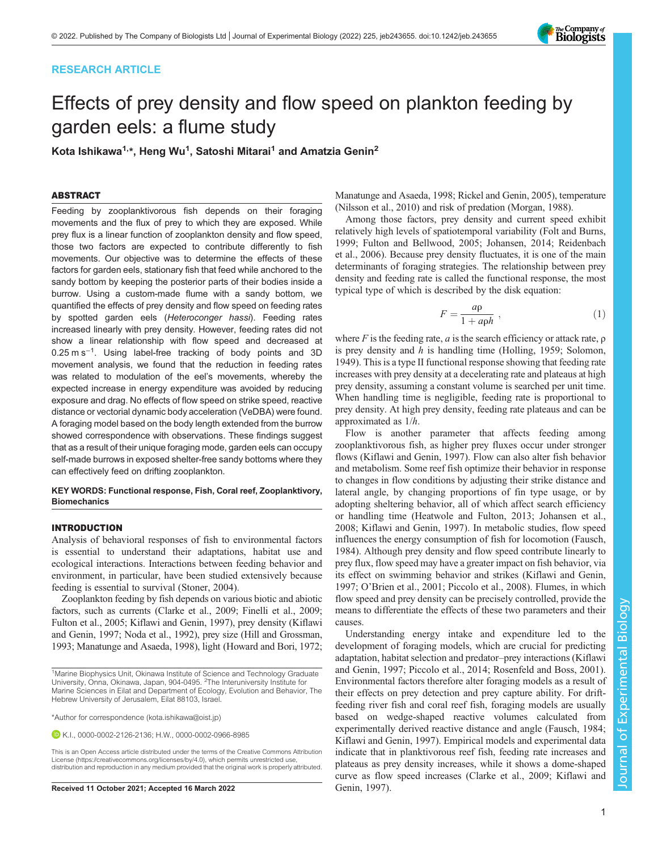# RESEARCH ARTICLE



# Effects of prey density and flow speed on plankton feeding by garden eels: a flume study

Kota Ishikawa $^{1,\star}$ , Heng Wu $^{1}$ , Satoshi Mitarai $^{1}$  and Amatzia Genin $^{2}$ 

## ABSTRACT

Feeding by zooplanktivorous fish depends on their foraging movements and the flux of prey to which they are exposed. While prey flux is a linear function of zooplankton density and flow speed, those two factors are expected to contribute differently to fish movements. Our objective was to determine the effects of these factors for garden eels, stationary fish that feed while anchored to the sandy bottom by keeping the posterior parts of their bodies inside a burrow. Using a custom-made flume with a sandy bottom, we quantified the effects of prey density and flow speed on feeding rates by spotted garden eels (Heteroconger hassi). Feeding rates increased linearly with prey density. However, feeding rates did not show a linear relationship with flow speed and decreased at 0.25 m s<sup>−</sup>1. Using label-free tracking of body points and 3D movement analysis, we found that the reduction in feeding rates was related to modulation of the eel's movements, whereby the expected increase in energy expenditure was avoided by reducing exposure and drag. No effects of flow speed on strike speed, reactive distance or vectorial dynamic body acceleration (VeDBA) were found. A foraging model based on the body length extended from the burrow showed correspondence with observations. These findings suggest that as a result of their unique foraging mode, garden eels can occupy self-made burrows in exposed shelter-free sandy bottoms where they can effectively feed on drifting zooplankton.

## KEY WORDS: Functional response, Fish, Coral reef, Zooplanktivory, **Biomechanics**

## INTRODUCTION

Analysis of behavioral responses of fish to environmental factors is essential to understand their adaptations, habitat use and ecological interactions. Interactions between feeding behavior and environment, in particular, have been studied extensively because feeding is essential to survival ([Stoner, 2004](#page-9-0)).

Zooplankton feeding by fish depends on various biotic and abiotic factors, such as currents [\(Clarke et al., 2009](#page-8-0); [Finelli et al., 2009](#page-8-0); [Fulton et al., 2005; Kiflawi and Genin, 1997\)](#page-8-0), prey density [\(Kiflawi](#page-8-0) [and Genin, 1997](#page-8-0); [Noda et al., 1992\)](#page-9-0), prey size [\(Hill and Grossman,](#page-8-0) [1993; Manatunge and Asaeda, 1998\)](#page-8-0), light ([Howard and Bori, 1972](#page-8-0);

K.I., [0000-0002-2126-2136](http://orcid.org/0000-0002-2126-2136); H.W., [0000-0002-0966-8985](http://orcid.org/0000-0002-0966-8985)

Received 11 October 2021; Accepted 16 March 2022 [Genin, 1997](#page-8-0)).

[Manatunge and Asaeda, 1998](#page-8-0); [Rickel and Genin, 2005](#page-9-0)), temperature [\(Nilsson et al., 2010](#page-9-0)) and risk of predation ([Morgan, 1988](#page-8-0)).

Among those factors, prey density and current speed exhibit relatively high levels of spatiotemporal variability [\(Folt and Burns,](#page-8-0) [1999; Fulton and Bellwood, 2005](#page-8-0); [Johansen, 2014](#page-8-0); [Reidenbach](#page-9-0) [et al., 2006\)](#page-9-0). Because prey density fluctuates, it is one of the main determinants of foraging strategies. The relationship between prey density and feeding rate is called the functional response, the most typical type of which is described by the disk equation:

$$
F = \frac{a\rho}{1 + a\rho h} \,,\tag{1}
$$

where  $F$  is the feeding rate,  $a$  is the search efficiency or attack rate,  $\rho$ is prey density and h is handling time [\(Holling, 1959](#page-8-0); [Solomon,](#page-9-0) [1949\)](#page-9-0). This is a type II functional response showing that feeding rate increases with prey density at a decelerating rate and plateaus at high prey density, assuming a constant volume is searched per unit time. When handling time is negligible, feeding rate is proportional to prey density. At high prey density, feeding rate plateaus and can be approximated as 1/h.

Flow is another parameter that affects feeding among zooplanktivorous fish, as higher prey fluxes occur under stronger flows [\(Kiflawi and Genin, 1997\)](#page-8-0). Flow can also alter fish behavior and metabolism. Some reef fish optimize their behavior in response to changes in flow conditions by adjusting their strike distance and lateral angle, by changing proportions of fin type usage, or by adopting sheltering behavior, all of which affect search efficiency or handling time [\(Heatwole and Fulton, 2013; Johansen et al.,](#page-8-0) [2008; Kiflawi and Genin, 1997](#page-8-0)). In metabolic studies, flow speed influences the energy consumption of fish for locomotion [\(Fausch,](#page-8-0) [1984\)](#page-8-0). Although prey density and flow speed contribute linearly to prey flux, flow speed may have a greater impact on fish behavior, via its effect on swimming behavior and strikes [\(Kiflawi and Genin,](#page-8-0) [1997;](#page-8-0) O'[Brien et al., 2001; Piccolo et al., 2008](#page-9-0)). Flumes, in which flow speed and prey density can be precisely controlled, provide the means to differentiate the effects of these two parameters and their causes.

Understanding energy intake and expenditure led to the development of foraging models, which are crucial for predicting adaptation, habitat selection and predator–prey interactions ([Kiflawi](#page-8-0) [and Genin, 1997](#page-8-0); [Piccolo et al., 2014; Rosenfeld and Boss, 2001\)](#page-9-0). Environmental factors therefore alter foraging models as a result of their effects on prey detection and prey capture ability. For driftfeeding river fish and coral reef fish, foraging models are usually based on wedge-shaped reactive volumes calculated from experimentally derived reactive distance and angle ([Fausch, 1984](#page-8-0); [Kiflawi and Genin, 1997](#page-8-0)). Empirical models and experimental data indicate that in planktivorous reef fish, feeding rate increases and plateaus as prey density increases, while it shows a dome-shaped curve as flow speed increases ([Clarke et al., 2009](#page-8-0); [Kiflawi and](#page-8-0)

<sup>&</sup>lt;sup>1</sup>Marine Biophysics Unit, Okinawa Institute of Science and Technology Graduate University, Onna, Okinawa, Japan, 904-0495. <sup>2</sup>The Interuniversity Institute for Marine Sciences in Eilat and Department of Ecology, Evolution and Behavior, The Hebrew University of Jerusalem, Eilat 88103, Israel.

<sup>\*</sup>Author for correspondence [\(kota.ishikawa@oist.jp\)](mailto:kota.ishikawa@oist.jp)

This is an Open Access article distributed under the terms of the Creative Commons Attribution License (https://creativecommons.org/licenses/by/4.0), which permits unrestricted use, distribution and reproduction in any medium provided that the original work is properly attributed.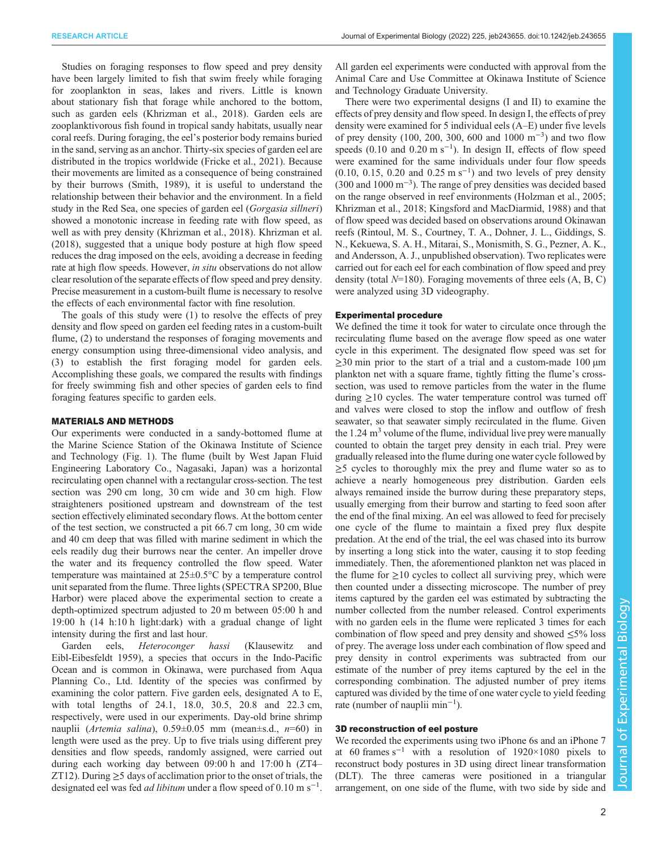Studies on foraging responses to flow speed and prey density have been largely limited to fish that swim freely while foraging for zooplankton in seas, lakes and rivers. Little is known about stationary fish that forage while anchored to the bottom, such as garden eels [\(Khrizman et al., 2018](#page-8-0)). Garden eels are zooplanktivorous fish found in tropical sandy habitats, usually near coral reefs. During foraging, the eel's posterior body remains buried in the sand, serving as an anchor. Thirty-six species of garden eel are distributed in the tropics worldwide [\(Fricke et al., 2021](#page-8-0)). Because their movements are limited as a consequence of being constrained by their burrows ([Smith, 1989](#page-9-0)), it is useful to understand the relationship between their behavior and the environment. In a field study in the Red Sea, one species of garden eel (Gorgasia sillneri) showed a monotonic increase in feeding rate with flow speed, as well as with prey density [\(Khrizman et al., 2018\)](#page-8-0). [Khrizman et al.](#page-8-0) [\(2018\)](#page-8-0), suggested that a unique body posture at high flow speed reduces the drag imposed on the eels, avoiding a decrease in feeding rate at high flow speeds. However, in situ observations do not allow clear resolution of the separate effects of flow speed and prey density. Precise measurement in a custom-built flume is necessary to resolve the effects of each environmental factor with fine resolution.

The goals of this study were (1) to resolve the effects of prey density and flow speed on garden eel feeding rates in a custom-built flume, (2) to understand the responses of foraging movements and energy consumption using three-dimensional video analysis, and (3) to establish the first foraging model for garden eels. Accomplishing these goals, we compared the results with findings for freely swimming fish and other species of garden eels to find foraging features specific to garden eels.

## MATERIALS AND METHODS

Our experiments were conducted in a sandy-bottomed flume at the Marine Science Station of the Okinawa Institute of Science and Technology [\(Fig. 1\)](#page-2-0). The flume (built by West Japan Fluid Engineering Laboratory Co., Nagasaki, Japan) was a horizontal recirculating open channel with a rectangular cross-section. The test section was 290 cm long, 30 cm wide and 30 cm high. Flow straighteners positioned upstream and downstream of the test section effectively eliminated secondary flows. At the bottom center of the test section, we constructed a pit 66.7 cm long, 30 cm wide and 40 cm deep that was filled with marine sediment in which the eels readily dug their burrows near the center. An impeller drove the water and its frequency controlled the flow speed. Water temperature was maintained at 25±0.5°C by a temperature control unit separated from the flume. Three lights (SPECTRA SP200, Blue Harbor) were placed above the experimental section to create a depth-optimized spectrum adjusted to 20 m between 05:00 h and 19:00 h (14 h:10 h light:dark) with a gradual change of light intensity during the first and last hour.

Garden eels, Heteroconger hassi (Klausewitz and Eibl-Eibesfeldt 1959), a species that occurs in the Indo-Pacific Ocean and is common in Okinawa, were purchased from Aqua Planning Co., Ltd. Identity of the species was confirmed by examining the color pattern. Five garden eels, designated A to E, with total lengths of 24.1, 18.0, 30.5, 20.8 and 22.3 cm, respectively, were used in our experiments. Day-old brine shrimp nauplii (Artemia salina),  $0.59 \pm 0.05$  mm (mean $\pm$ s.d.,  $n=60$ ) in length were used as the prey. Up to five trials using different prey densities and flow speeds, randomly assigned, were carried out during each working day between 09:00 h and 17:00 h (ZT4– ZT12). During  $\geq$ 5 days of acclimation prior to the onset of trials, the designated eel was fed *ad libitum* under a flow speed of  $0.10 \text{ m s}^{-1}$ .

All garden eel experiments were conducted with approval from the Animal Care and Use Committee at Okinawa Institute of Science and Technology Graduate University.

There were two experimental designs (I and II) to examine the effects of prey density and flow speed. In design I, the effects of prey density were examined for 5 individual eels (A–E) under five levels of prey density (100, 200, 300, 600 and 1000 m−<sup>3</sup> ) and two flow speeds (0.10 and 0.20 m s<sup>-1</sup>). In design II, effects of flow speed were examined for the same individuals under four flow speeds  $(0.10, 0.15, 0.20$  and  $0.25 \text{ m s}^{-1})$  and two levels of prey density (300 and 1000 m−<sup>3</sup> ). The range of prey densities was decided based on the range observed in reef environments ([Holzman et al., 2005](#page-8-0); [Khrizman et al., 2018](#page-8-0); [Kingsford and MacDiarmid, 1988](#page-8-0)) and that of flow speed was decided based on observations around Okinawan reefs (Rintoul, M. S., Courtney, T. A., Dohner, J. L., Giddings, S. N., Kekuewa, S. A. H., Mitarai, S., Monismith, S. G., Pezner, A. K., and Andersson, A. J., unpublished observation). Two replicates were carried out for each eel for each combination of flow speed and prey density (total  $N=180$ ). Foraging movements of three eels  $(A, B, C)$ were analyzed using 3D videography.

#### Experimental procedure

We defined the time it took for water to circulate once through the recirculating flume based on the average flow speed as one water cycle in this experiment. The designated flow speed was set for  $\geq$ 30 min prior to the start of a trial and a custom-made 100  $\mu$ m plankton net with a square frame, tightly fitting the flume's crosssection, was used to remove particles from the water in the flume during  $\geq$ 10 cycles. The water temperature control was turned off and valves were closed to stop the inflow and outflow of fresh seawater, so that seawater simply recirculated in the flume. Given the  $1.24 \text{ m}^3$  volume of the flume, individual live prey were manually counted to obtain the target prey density in each trial. Prey were gradually released into the flume during one water cycle followed by  $\geq$ 5 cycles to thoroughly mix the prey and flume water so as to achieve a nearly homogeneous prey distribution. Garden eels always remained inside the burrow during these preparatory steps, usually emerging from their burrow and starting to feed soon after the end of the final mixing. An eel was allowed to feed for precisely one cycle of the flume to maintain a fixed prey flux despite predation. At the end of the trial, the eel was chased into its burrow by inserting a long stick into the water, causing it to stop feeding immediately. Then, the aforementioned plankton net was placed in the flume for  $\geq 10$  cycles to collect all surviving prey, which were then counted under a dissecting microscope. The number of prey items captured by the garden eel was estimated by subtracting the number collected from the number released. Control experiments with no garden eels in the flume were replicated 3 times for each combination of flow speed and prey density and showed  $\leq 5\%$  loss of prey. The average loss under each combination of flow speed and prey density in control experiments was subtracted from our estimate of the number of prey items captured by the eel in the corresponding combination. The adjusted number of prey items captured was divided by the time of one water cycle to yield feeding rate (number of nauplii min−<sup>1</sup> ).

#### 3D reconstruction of eel posture

We recorded the experiments using two iPhone 6s and an iPhone 7 at 60 frames s<sup>-1</sup> with a resolution of 1920×1080 pixels to reconstruct body postures in 3D using direct linear transformation (DLT). The three cameras were positioned in a triangular arrangement, on one side of the flume, with two side by side and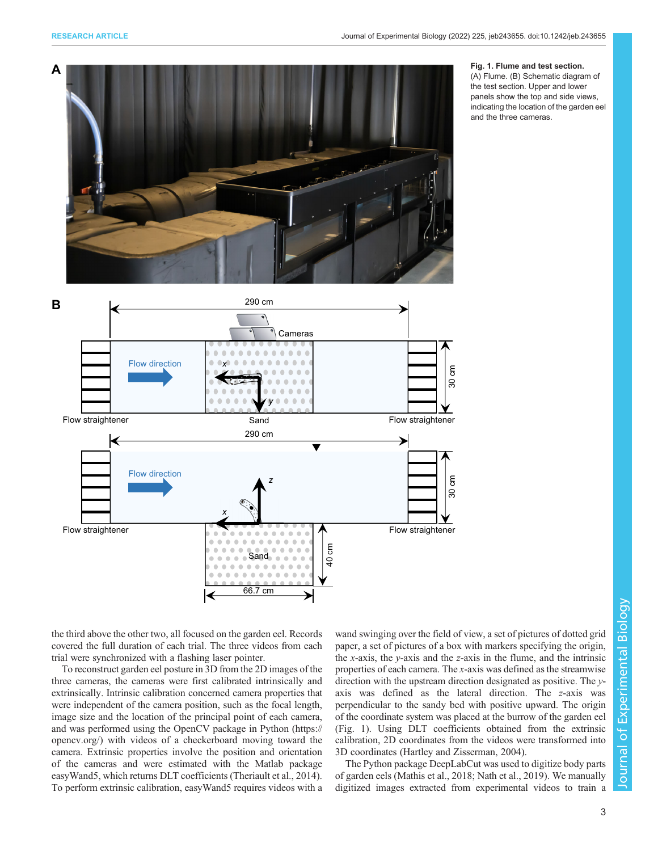<span id="page-2-0"></span>

#### Fig. 1. Flume and test section.

(A) Flume. (B) Schematic diagram of the test section. Upper and lower panels show the top and side views, indicating the location of the garden eel and the three cameras.

the third above the other two, all focused on the garden eel. Records covered the full duration of each trial. The three videos from each trial were synchronized with a flashing laser pointer.

To reconstruct garden eel posture in 3D from the 2D images of the three cameras, the cameras were first calibrated intrinsically and extrinsically. Intrinsic calibration concerned camera properties that were independent of the camera position, such as the focal length, image size and the location of the principal point of each camera, and was performed using the OpenCV package in Python ([https://](https://opencv.org/) [opencv.org/\)](https://opencv.org/) with videos of a checkerboard moving toward the camera. Extrinsic properties involve the position and orientation of the cameras and were estimated with the Matlab package easyWand5, which returns DLT coefficients [\(Theriault et al., 2014\)](#page-9-0). To perform extrinsic calibration, easyWand5 requires videos with a wand swinging over the field of view, a set of pictures of dotted grid paper, a set of pictures of a box with markers specifying the origin, the x-axis, the y-axis and the z-axis in the flume, and the intrinsic properties of each camera. The x-axis was defined as the streamwise direction with the upstream direction designated as positive. The yaxis was defined as the lateral direction. The z-axis was perpendicular to the sandy bed with positive upward. The origin of the coordinate system was placed at the burrow of the garden eel (Fig. 1). Using DLT coefficients obtained from the extrinsic calibration, 2D coordinates from the videos were transformed into 3D coordinates [\(Hartley and Zisserman, 2004](#page-8-0)).

The Python package DeepLabCut was used to digitize body parts of garden eels ([Mathis et al., 2018;](#page-8-0) [Nath et al., 2019](#page-9-0)). We manually digitized images extracted from experimental videos to train a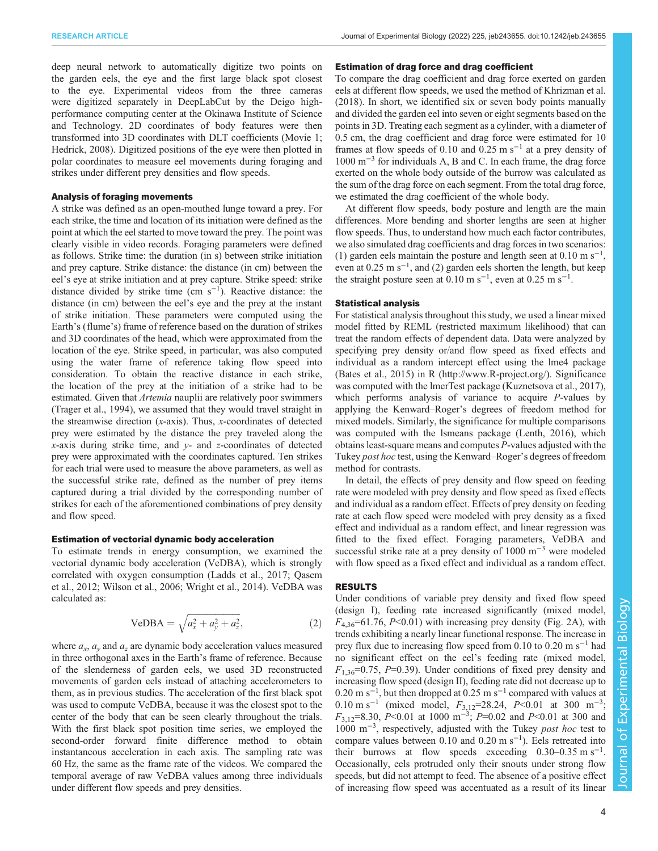deep neural network to automatically digitize two points on the garden eels, the eye and the first large black spot closest to the eye. Experimental videos from the three cameras were digitized separately in DeepLabCut by the Deigo highperformance computing center at the Okinawa Institute of Science and Technology. 2D coordinates of body features were then transformed into 3D coordinates with DLT coefficients [\(Movie 1](http://movie.biologists.com/video/10.1242/jeb.243655/video-1); [Hedrick, 2008](#page-8-0)). Digitized positions of the eye were then plotted in polar coordinates to measure eel movements during foraging and strikes under different prey densities and flow speeds.

## Analysis of foraging movements

A strike was defined as an open-mouthed lunge toward a prey. For each strike, the time and location of its initiation were defined as the point at which the eel started to move toward the prey. The point was clearly visible in video records. Foraging parameters were defined as follows. Strike time: the duration (in s) between strike initiation and prey capture. Strike distance: the distance (in cm) between the eel's eye at strike initiation and at prey capture. Strike speed: strike distance divided by strike time  $(\text{cm s}^{-1})$ . Reactive distance: the distance (in cm) between the eel's eye and the prey at the instant of strike initiation. These parameters were computed using the Earth's (flume's) frame of reference based on the duration of strikes and 3D coordinates of the head, which were approximated from the location of the eye. Strike speed, in particular, was also computed using the water frame of reference taking flow speed into consideration. To obtain the reactive distance in each strike, the location of the prey at the initiation of a strike had to be estimated. Given that *Artemia* nauplii are relatively poor swimmers [\(Trager et al., 1994\)](#page-9-0), we assumed that they would travel straight in the streamwise direction (x-axis). Thus, x-coordinates of detected prey were estimated by the distance the prey traveled along the  $x$ -axis during strike time, and  $y$ - and  $z$ -coordinates of detected prey were approximated with the coordinates captured. Ten strikes for each trial were used to measure the above parameters, as well as the successful strike rate, defined as the number of prey items captured during a trial divided by the corresponding number of strikes for each of the aforementioned combinations of prey density and flow speed.

#### Estimation of vectorial dynamic body acceleration

To estimate trends in energy consumption, we examined the vectorial dynamic body acceleration (VeDBA), which is strongly correlated with oxygen consumption [\(Ladds et al., 2017;](#page-8-0) [Qasem](#page-9-0) [et al., 2012](#page-9-0); [Wilson et al., 2006; Wright et al., 2014\)](#page-9-0). VeDBA was calculated as:

VeDBA = 
$$
\sqrt{a_x^2 + a_y^2 + a_z^2}
$$
, (2)

where  $a_x$ ,  $a_y$  and  $a_z$  are dynamic body acceleration values measured in three orthogonal axes in the Earth's frame of reference. Because of the slenderness of garden eels, we used 3D reconstructed movements of garden eels instead of attaching accelerometers to them, as in previous studies. The acceleration of the first black spot was used to compute VeDBA, because it was the closest spot to the center of the body that can be seen clearly throughout the trials. With the first black spot position time series, we employed the second-order forward finite difference method to obtain instantaneous acceleration in each axis. The sampling rate was 60 Hz, the same as the frame rate of the videos. We compared the temporal average of raw VeDBA values among three individuals under different flow speeds and prey densities.

## Estimation of drag force and drag coefficient

To compare the drag coefficient and drag force exerted on garden eels at different flow speeds, we used the method of [Khrizman et al.](#page-8-0) [\(2018\)](#page-8-0). In short, we identified six or seven body points manually and divided the garden eel into seven or eight segments based on the points in 3D. Treating each segment as a cylinder, with a diameter of 0.5 cm, the drag coefficient and drag force were estimated for 10 frames at flow speeds of 0.10 and 0.25 m s<sup>-1</sup> at a prey density of 1000 m−<sup>3</sup> for individuals A, B and C. In each frame, the drag force exerted on the whole body outside of the burrow was calculated as the sum of the drag force on each segment. From the total drag force, we estimated the drag coefficient of the whole body.

At different flow speeds, body posture and length are the main differences. More bending and shorter lengths are seen at higher flow speeds. Thus, to understand how much each factor contributes, we also simulated drag coefficients and drag forces in two scenarios: (1) garden eels maintain the posture and length seen at  $0.10 \text{ m s}^{-1}$ , even at  $0.25 \text{ m s}^{-1}$ , and  $(2)$  garden eels shorten the length, but keep the straight posture seen at  $0.10 \text{ m s}^{-1}$ , even at  $0.25 \text{ m s}^{-1}$ .

#### Statistical analysis

For statistical analysis throughout this study, we used a linear mixed model fitted by REML (restricted maximum likelihood) that can treat the random effects of dependent data. Data were analyzed by specifying prey density or/and flow speed as fixed effects and individual as a random intercept effect using the lme4 package [\(Bates et al., 2015](#page-8-0)) in R [\(http://www.R-project.org/](http://www.R-project.org/)). Significance was computed with the lmerTest package ([Kuznetsova et al., 2017\)](#page-8-0), which performs analysis of variance to acquire  $P$ -values by applying the Kenward–Roger's degrees of freedom method for mixed models. Similarly, the significance for multiple comparisons was computed with the lsmeans package [\(Lenth, 2016\)](#page-8-0), which obtains least-square means and computes P-values adjusted with the Tukey post hoc test, using the Kenward–Roger's degrees of freedom method for contrasts.

In detail, the effects of prey density and flow speed on feeding rate were modeled with prey density and flow speed as fixed effects and individual as a random effect. Effects of prey density on feeding rate at each flow speed were modeled with prey density as a fixed effect and individual as a random effect, and linear regression was fitted to the fixed effect. Foraging parameters, VeDBA and successful strike rate at a prey density of 1000 m<sup>-3</sup> were modeled with flow speed as a fixed effect and individual as a random effect.

#### RESULTS

Under conditions of variable prey density and fixed flow speed (design I), feeding rate increased significantly (mixed model,  $F_{4,36}$ =61.76, P<0.01) with increasing prey density [\(Fig. 2](#page-4-0)A), with trends exhibiting a nearly linear functional response. The increase in prey flux due to increasing flow speed from 0.10 to 0.20 m s−<sup>1</sup> had no significant effect on the eel's feeding rate (mixed model,  $F_{1,36}$ =0.75, P=0.39). Under conditions of fixed prey density and increasing flow speed (design II), feeding rate did not decrease up to 0.20 m s<sup>-1</sup>, but then dropped at 0.25 m s<sup>-1</sup> compared with values at 0.10 m s<sup>-1</sup> (mixed model,  $F_{3,12}$ =28.24, P<0.01 at 300 m<sup>-3</sup>;  $F_{3,12}$ =8.30, P<0.01 at 1000 m<sup>-3</sup>; P=0.02 and P<0.01 at 300 and 1000 m−<sup>3</sup> , respectively, adjusted with the Tukey post hoc test to compare values between 0.10 and 0.20 m s−<sup>1</sup> ). Eels retreated into their burrows at flow speeds exceeding  $0.30-0.35 \text{ m s}^{-1}$ . Occasionally, eels protruded only their snouts under strong flow speeds, but did not attempt to feed. The absence of a positive effect of increasing flow speed was accentuated as a result of its linear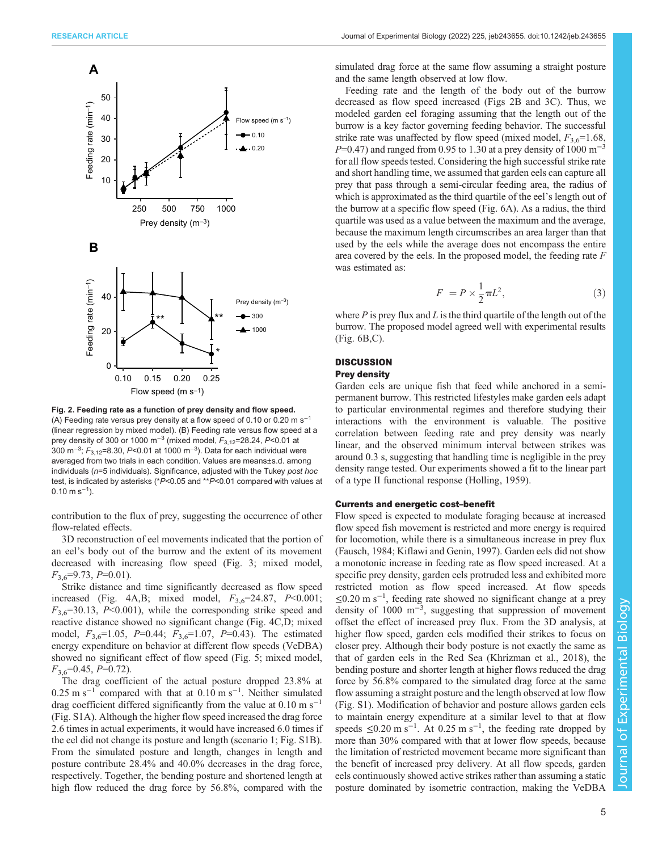<span id="page-4-0"></span>

Fig. 2. Feeding rate as a function of prey density and flow speed. (A) Feeding rate versus prey density at a flow speed of 0.10 or 0.20 m s−<sup>1</sup> (linear regression by mixed model). (B) Feeding rate versus flow speed at a prev density of 300 or 1000 m<sup>-3</sup> (mixed model,  $F_{3,12}$ =28.24, P<0.01 at 300 m<sup>–3</sup>; *F*<sub>3,12</sub>=8.30, *P*<0.01 at 1000 m<sup>–3</sup>). Data for each individual were averaged from two trials in each condition. Values are means±s.d. among individuals ( $n=5$  individuals). Significance, adjusted with the Tukey post hoc test, is indicated by asterisks (\*P<0.05 and \*\*P<0.01 compared with values at  $0.10 \text{ m s}^{-1}$ ).

contribution to the flux of prey, suggesting the occurrence of other flow-related effects.

3D reconstruction of eel movements indicated that the portion of an eel's body out of the burrow and the extent of its movement decreased with increasing flow speed ([Fig. 3](#page-5-0); mixed model,  $F_{3,6}$ =9.73, P=0.01).

Strike distance and time significantly decreased as flow speed increased [\(Fig. 4A](#page-6-0),B; mixed model,  $F_{3,6}$ =24.87, P<0.001;  $F_{3,6}$ =30.13, P<0.001), while the corresponding strike speed and reactive distance showed no significant change ([Fig. 4](#page-6-0)C,D; mixed model,  $F_{3,6}=1.05$ ,  $P=0.44$ ;  $F_{3,6}=1.07$ ,  $P=0.43$ ). The estimated energy expenditure on behavior at different flow speeds (VeDBA) showed no significant effect of flow speed ([Fig. 5;](#page-7-0) mixed model,  $F_{3,6}$ =0.45, P=0.72).

The drag coefficient of the actual posture dropped 23.8% at  $0.25 \text{ m s}^{-1}$  compared with that at  $0.10 \text{ m s}^{-1}$ . Neither simulated drag coefficient differed significantly from the value at  $0.10 \text{ m s}^{-1}$ [\(Fig. S1A\)](https://journals.biologists.com/jeb/article-lookup/DOI/10.1242/jeb.243655). Although the higher flow speed increased the drag force 2.6 times in actual experiments, it would have increased 6.0 times if the eel did not change its posture and length (scenario 1; [Fig. S1B\)](https://journals.biologists.com/jeb/article-lookup/DOI/10.1242/jeb.243655). From the simulated posture and length, changes in length and posture contribute 28.4% and 40.0% decreases in the drag force, respectively. Together, the bending posture and shortened length at high flow reduced the drag force by 56.8%, compared with the

simulated drag force at the same flow assuming a straight posture and the same length observed at low flow.

Feeding rate and the length of the body out of the burrow decreased as flow speed increased (Figs 2B and [3C](#page-5-0)). Thus, we modeled garden eel foraging assuming that the length out of the burrow is a key factor governing feeding behavior. The successful strike rate was unaffected by flow speed (mixed model,  $F_{3,6}=1.68$ , P=0.47) and ranged from 0.95 to 1.30 at a prey density of 1000 m<sup>-3</sup> for all flow speeds tested. Considering the high successful strike rate and short handling time, we assumed that garden eels can capture all prey that pass through a semi-circular feeding area, the radius of which is approximated as the third quartile of the eel's length out of the burrow at a specific flow speed [\(Fig. 6A](#page-7-0)). As a radius, the third quartile was used as a value between the maximum and the average, because the maximum length circumscribes an area larger than that used by the eels while the average does not encompass the entire area covered by the eels. In the proposed model, the feeding rate F was estimated as:

$$
F = P \times \frac{1}{2} \pi L^2,\tag{3}
$$

where  $P$  is prey flux and  $L$  is the third quartile of the length out of the burrow. The proposed model agreed well with experimental results [\(Fig. 6](#page-7-0)B,C).

## **DISCUSSION** Prey density

Garden eels are unique fish that feed while anchored in a semipermanent burrow. This restricted lifestyles make garden eels adapt to particular environmental regimes and therefore studying their interactions with the environment is valuable. The positive correlation between feeding rate and prey density was nearly linear, and the observed minimum interval between strikes was around 0.3 s, suggesting that handling time is negligible in the prey density range tested. Our experiments showed a fit to the linear part of a type II functional response [\(Holling, 1959](#page-8-0)).

#### Currents and energetic cost–benefit

Flow speed is expected to modulate foraging because at increased flow speed fish movement is restricted and more energy is required for locomotion, while there is a simultaneous increase in prey flux [\(Fausch, 1984; Kiflawi and Genin, 1997](#page-8-0)). Garden eels did not show a monotonic increase in feeding rate as flow speed increased. At a specific prey density, garden eels protruded less and exhibited more restricted motion as flow speed increased. At flow speeds ≤0.20 m s−<sup>1</sup> , feeding rate showed no significant change at a prey density of 1000 m<sup>-3</sup>, suggesting that suppression of movement offset the effect of increased prey flux. From the 3D analysis, at higher flow speed, garden eels modified their strikes to focus on closer prey. Although their body posture is not exactly the same as that of garden eels in the Red Sea [\(Khrizman et al., 2018](#page-8-0)), the bending posture and shorter length at higher flows reduced the drag force by 56.8% compared to the simulated drag force at the same flow assuming a straight posture and the length observed at low flow [\(Fig. S1\)](https://journals.biologists.com/jeb/article-lookup/DOI/10.1242/jeb.243655). Modification of behavior and posture allows garden eels to maintain energy expenditure at a similar level to that at flow speeds  $\leq 0.20 \text{ m s}^{-1}$ . At 0.25 m s<sup>-1</sup>, the feeding rate dropped by more than 30% compared with that at lower flow speeds, because the limitation of restricted movement became more significant than the benefit of increased prey delivery. At all flow speeds, garden eels continuously showed active strikes rather than assuming a static posture dominated by isometric contraction, making the VeDBA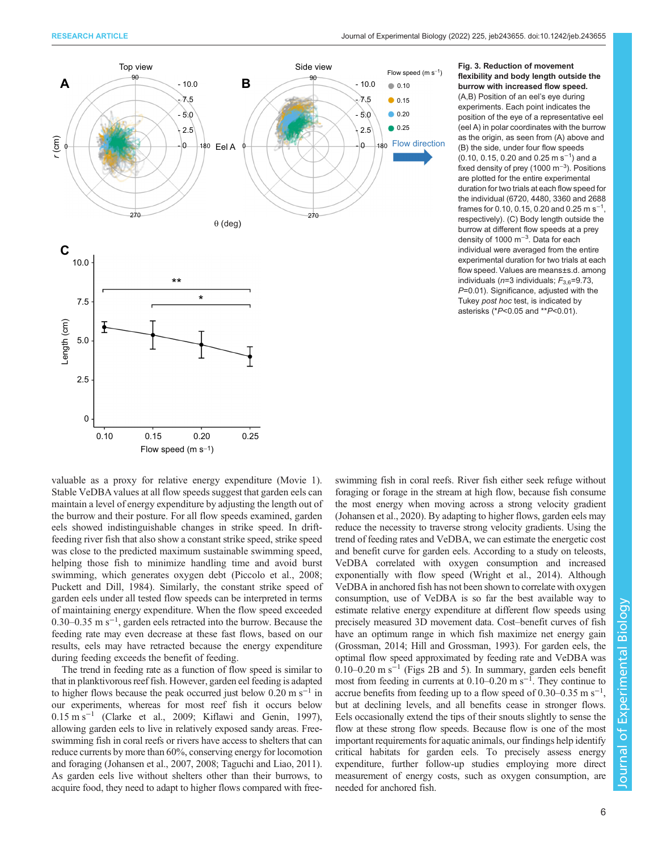<span id="page-5-0"></span>

Fig. 3. Reduction of movement flexibility and body length outside the burrow with increased flow speed. (A,B) Position of an eel's eye during experiments. Each point indicates the position of the eye of a representative eel (eel A) in polar coordinates with the burrow as the origin, as seen from (A) above and (B) the side, under four flow speeds (0.10, 0.15, 0.20 and 0.25 m s<sup>-1</sup>) and a fixed density of prey (1000 m<sup>−</sup>3). Positions are plotted for the entire experimental duration for two trials at each flow speed for the individual (6720, 4480, 3360 and 2688 frames for 0.10, 0.15, 0.20 and 0.25 m s<sup>-1</sup>, respectively). (C) Body length outside the burrow at different flow speeds at a prey density of 1000 m<sup>-3</sup>. Data for each individual were averaged from the entire experimental duration for two trials at each flow speed. Values are means±s.d. among individuals ( $n=3$  individuals;  $F_{3,6}=9.73$ , P=0.01). Significance, adjusted with the Tukey post hoc test, is indicated by asterisks (\*P<0.05 and \*\*P<0.01).

valuable as a proxy for relative energy expenditure ([Movie 1\)](http://movie.biologists.com/video/10.1242/jeb.243655/video-1). Stable VeDBA values at all flow speeds suggest that garden eels can maintain a level of energy expenditure by adjusting the length out of the burrow and their posture. For all flow speeds examined, garden eels showed indistinguishable changes in strike speed. In driftfeeding river fish that also show a constant strike speed, strike speed was close to the predicted maximum sustainable swimming speed, helping those fish to minimize handling time and avoid burst swimming, which generates oxygen debt [\(Piccolo et al., 2008](#page-9-0); [Puckett and Dill, 1984\)](#page-9-0). Similarly, the constant strike speed of garden eels under all tested flow speeds can be interpreted in terms of maintaining energy expenditure. When the flow speed exceeded 0.30–0.35 m s−<sup>1</sup> , garden eels retracted into the burrow. Because the feeding rate may even decrease at these fast flows, based on our results, eels may have retracted because the energy expenditure during feeding exceeds the benefit of feeding.

The trend in feeding rate as a function of flow speed is similar to that in planktivorous reef fish. However, garden eel feeding is adapted to higher flows because the peak occurred just below  $0.20 \text{ m s}^{-1}$  in our experiments, whereas for most reef fish it occurs below 0.15 m s−<sup>1</sup> [\(Clarke et al., 2009; Kiflawi and Genin, 1997\)](#page-8-0), allowing garden eels to live in relatively exposed sandy areas. Freeswimming fish in coral reefs or rivers have access to shelters that can reduce currents by more than 60%, conserving energy for locomotion and foraging [\(Johansen et al., 2007, 2008](#page-8-0); [Taguchi and Liao, 2011\)](#page-9-0). As garden eels live without shelters other than their burrows, to acquire food, they need to adapt to higher flows compared with freeswimming fish in coral reefs. River fish either seek refuge without foraging or forage in the stream at high flow, because fish consume the most energy when moving across a strong velocity gradient [\(Johansen et al., 2020](#page-8-0)). By adapting to higher flows, garden eels may reduce the necessity to traverse strong velocity gradients. Using the trend of feeding rates and VeDBA, we can estimate the energetic cost and benefit curve for garden eels. According to a study on teleosts, VeDBA correlated with oxygen consumption and increased exponentially with flow speed [\(Wright et al., 2014](#page-9-0)). Although VeDBA in anchored fish has not been shown to correlate with oxygen consumption, use of VeDBA is so far the best available way to estimate relative energy expenditure at different flow speeds using precisely measured 3D movement data. Cost–benefit curves of fish have an optimum range in which fish maximize net energy gain [\(Grossman, 2014; Hill and Grossman, 1993](#page-8-0)). For garden eels, the optimal flow speed approximated by feeding rate and VeDBA was 0.10–0.20 m s<sup> $-1$ </sup> [\(Figs 2B](#page-4-0) and [5\)](#page-7-0). In summary, garden eels benefit most from feeding in currents at 0.10–0.20 m s<sup>-1</sup>. They continue to accrue benefits from feeding up to a flow speed of  $0.30-0.35$  m s<sup>-1</sup>, but at declining levels, and all benefits cease in stronger flows. Eels occasionally extend the tips of their snouts slightly to sense the flow at these strong flow speeds. Because flow is one of the most important requirements for aquatic animals, our findings help identify critical habitats for garden eels. To precisely assess energy expenditure, further follow-up studies employing more direct measurement of energy costs, such as oxygen consumption, are needed for anchored fish.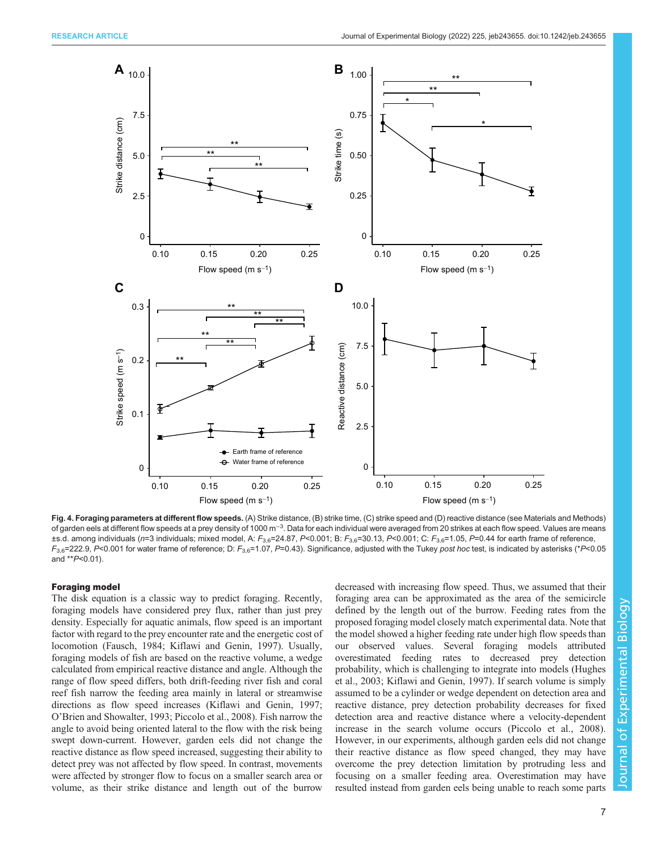<span id="page-6-0"></span>

Fig. 4. Foraging parameters at different flow speeds. (A) Strike distance, (B) strike time, (C) strike speed and (D) reactive distance (see Materials and Methods) of garden eels at different flow speeds at a prey density of 1000 m<sup>−3</sup>. Data for each individual were averaged from 20 strikes at each flow speed. Values are means ±s.d. among individuals (n=3 individuals; mixed model, A:  $F_{3,6}=24.87$ , P<0.001; B:  $F_{3,6}=30.13$ , P<0.001; C:  $F_{3,6}=1.05$ , P=0.44 for earth frame of reference,  $F_{3,6}$ =222.9, P<0.001 for water frame of reference; D:  $F_{3,6}$ =1.07, P=0.43). Significance, adjusted with the Tukey post hoc test, is indicated by asterisks (\*P<0.05 and \*\*P<0.01).

## Foraging model

The disk equation is a classic way to predict foraging. Recently, foraging models have considered prey flux, rather than just prey density. Especially for aquatic animals, flow speed is an important factor with regard to the prey encounter rate and the energetic cost of locomotion ([Fausch, 1984](#page-8-0); [Kiflawi and Genin, 1997](#page-8-0)). Usually, foraging models of fish are based on the reactive volume, a wedge calculated from empirical reactive distance and angle. Although the range of flow speed differs, both drift-feeding river fish and coral reef fish narrow the feeding area mainly in lateral or streamwise directions as flow speed increases ([Kiflawi and Genin, 1997](#page-8-0); O'[Brien and Showalter, 1993; Piccolo et al., 2008](#page-9-0)). Fish narrow the angle to avoid being oriented lateral to the flow with the risk being swept down-current. However, garden eels did not change the reactive distance as flow speed increased, suggesting their ability to detect prey was not affected by flow speed. In contrast, movements were affected by stronger flow to focus on a smaller search area or volume, as their strike distance and length out of the burrow

decreased with increasing flow speed. Thus, we assumed that their foraging area can be approximated as the area of the semicircle defined by the length out of the burrow. Feeding rates from the proposed foraging model closely match experimental data. Note that the model showed a higher feeding rate under high flow speeds than our observed values. Several foraging models attributed overestimated feeding rates to decreased prey detection probability, which is challenging to integrate into models [\(Hughes](#page-8-0) [et al., 2003; Kiflawi and Genin, 1997\)](#page-8-0). If search volume is simply assumed to be a cylinder or wedge dependent on detection area and reactive distance, prey detection probability decreases for fixed detection area and reactive distance where a velocity-dependent increase in the search volume occurs ([Piccolo et al., 2008\)](#page-9-0). However, in our experiments, although garden eels did not change their reactive distance as flow speed changed, they may have overcome the prey detection limitation by protruding less and focusing on a smaller feeding area. Overestimation may have resulted instead from garden eels being unable to reach some parts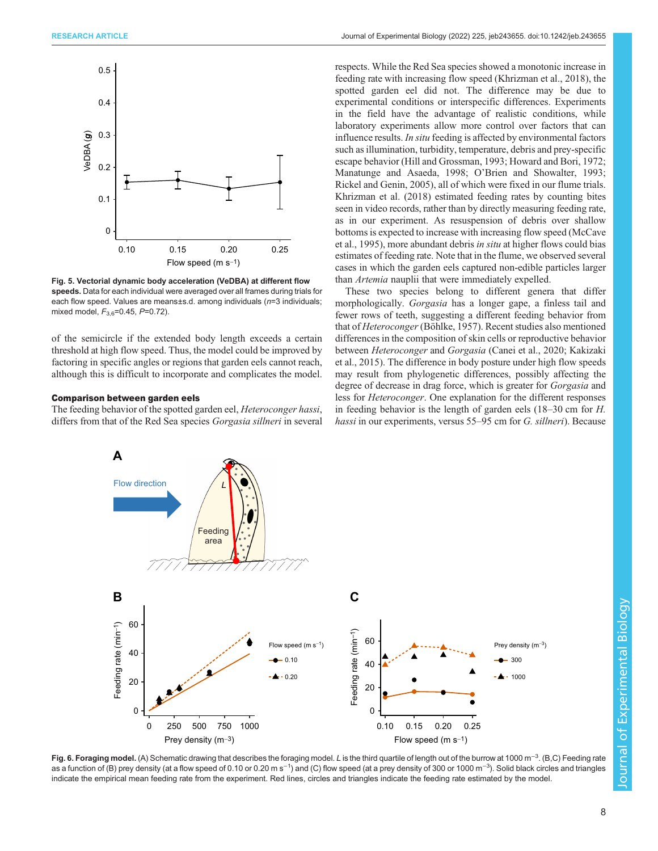<span id="page-7-0"></span>

Fig. 5. Vectorial dynamic body acceleration (VeDBA) at different flow speeds. Data for each individual were averaged over all frames during trials for each flow speed. Values are means±s.d. among individuals (n=3 individuals; mixed model,  $F_{3.6}$ =0.45,  $P$ =0.72).

of the semicircle if the extended body length exceeds a certain threshold at high flow speed. Thus, the model could be improved by factoring in specific angles or regions that garden eels cannot reach, although this is difficult to incorporate and complicates the model.

#### Comparison between garden eels

The feeding behavior of the spotted garden eel, Heteroconger hassi, differs from that of the Red Sea species *Gorgasia sillneri* in several respects. While the Red Sea species showed a monotonic increase in feeding rate with increasing flow speed [\(Khrizman et al., 2018\)](#page-8-0), the spotted garden eel did not. The difference may be due to experimental conditions or interspecific differences. Experiments in the field have the advantage of realistic conditions, while laboratory experiments allow more control over factors that can influence results. In situ feeding is affected by environmental factors such as illumination, turbidity, temperature, debris and prey-specific escape behavior ([Hill and Grossman, 1993; Howard and Bori, 1972](#page-8-0); [Manatunge and Asaeda, 1998](#page-8-0); O'[Brien and Showalter, 1993](#page-9-0); [Rickel and Genin, 2005](#page-9-0)), all of which were fixed in our flume trials. [Khrizman et al. \(2018\)](#page-8-0) estimated feeding rates by counting bites seen in video records, rather than by directly measuring feeding rate, as in our experiment. As resuspension of debris over shallow bottoms is expected to increase with increasing flow speed [\(McCave](#page-8-0) [et al., 1995](#page-8-0)), more abundant debris in situ at higher flows could bias estimates of feeding rate. Note that in the flume, we observed several cases in which the garden eels captured non-edible particles larger than Artemia nauplii that were immediately expelled.

These two species belong to different genera that differ morphologically. Gorgasia has a longer gape, a finless tail and fewer rows of teeth, suggesting a different feeding behavior from that of Heteroconger [\(Böhlke, 1957\)](#page-8-0). Recent studies also mentioned differences in the composition of skin cells or reproductive behavior between Heteroconger and Gorgasia ([Canei et al., 2020; Kakizaki](#page-8-0) [et al., 2015](#page-8-0)). The difference in body posture under high flow speeds may result from phylogenetic differences, possibly affecting the degree of decrease in drag force, which is greater for Gorgasia and less for Heteroconger. One explanation for the different responses in feeding behavior is the length of garden eels (18–30 cm for H. hassi in our experiments, versus 55–95 cm for G. sillneri). Because



Fig. 6. Foraging model. (A) Schematic drawing that describes the foraging model. *L* is the third quartile of length out of the burrow at 1000 m<sup>−3</sup>. (B,C) Feeding rate as a function of (B) prey density (at a flow speed of 0.10 or 0.20 m s<sup>−1</sup>) and (C) flow speed (at a prey density of 300 or 1000 m<sup>−3</sup>). Solid black circles and triangles indicate the empirical mean feeding rate from the experiment. Red lines, circles and triangles indicate the feeding rate estimated by the model.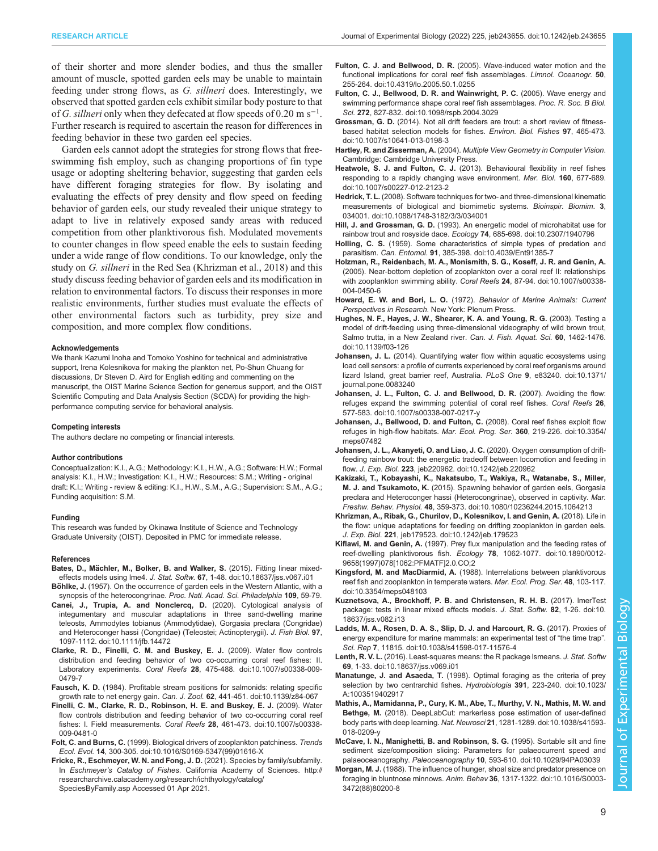<span id="page-8-0"></span>of their shorter and more slender bodies, and thus the smaller amount of muscle, spotted garden eels may be unable to maintain feeding under strong flows, as G. sillneri does. Interestingly, we observed that spotted garden eels exhibit similar body posture to that of G. sillneri only when they defecated at flow speeds of 0.20 m s<sup>-1</sup>. Further research is required to ascertain the reason for differences in feeding behavior in these two garden eel species.

Garden eels cannot adopt the strategies for strong flows that freeswimming fish employ, such as changing proportions of fin type usage or adopting sheltering behavior, suggesting that garden eels have different foraging strategies for flow. By isolating and evaluating the effects of prey density and flow speed on feeding behavior of garden eels, our study revealed their unique strategy to adapt to live in relatively exposed sandy areas with reduced competition from other planktivorous fish. Modulated movements to counter changes in flow speed enable the eels to sustain feeding under a wide range of flow conditions. To our knowledge, only the study on G. sillneri in the Red Sea (Khrizman et al., 2018) and this study discuss feeding behavior of garden eels and its modification in relation to environmental factors. To discuss their responses in more realistic environments, further studies must evaluate the effects of other environmental factors such as turbidity, prey size and composition, and more complex flow conditions.

#### Acknowledgements

We thank Kazumi Inoha and Tomoko Yoshino for technical and administrative support, Irena Kolesnikova for making the plankton net, Po-Shun Chuang for discussions, Dr Steven D. Aird for English editing and commenting on the manuscript, the OIST Marine Science Section for generous support, and the OIST Scientific Computing and Data Analysis Section (SCDA) for providing the highperformance computing service for behavioral analysis.

#### Competing interests

The authors declare no competing or financial interests.

#### Author contributions

Conceptualization: K.I., A.G.; Methodology: K.I., H.W., A.G.; Software: H.W.; Formal analysis: K.I., H.W.; Investigation: K.I., H.W.; Resources: S.M.; Writing - original draft: K.I.; Writing - review & editing: K.I., H.W., S.M., A.G.; Supervision: S.M., A.G.; Funding acquisition: S.M.

#### Funding

This research was funded by Okinawa Institute of Science and Technology Graduate University (OIST). Deposited in PMC for immediate release.

#### References

- Bates, D., Mä[chler, M., Bolker, B. and Walker, S.](https://doi.org/10.18637/jss.v067.i01) (2015). Fitting linear mixedeffects models using lme4. J. Stat. Softw. 67[, 1-48. doi:10.18637/jss.v067.i01](https://doi.org/10.18637/jss.v067.i01)
- Böhlke, J. (1957). On the occurrence of garden eels in the Western Atlantic, with a synopsis of the heterocongrinae. Proc. Natl. Acad. Sci. Philadelphia 109, 59-79. [Canei, J., Trupia, A. and Nonclercq, D.](https://doi.org/10.1111/jfb.14472) (2020). Cytological analysis of
- [integumentary and muscular adaptations in three sand-dwelling marine](https://doi.org/10.1111/jfb.14472) [teleosts, Ammodytes tobianus \(Ammodytidae\), Gorgasia preclara \(Congridae\)](https://doi.org/10.1111/jfb.14472) [and Heteroconger hassi \(Congridae\) \(Teleostei; Actinopterygii\).](https://doi.org/10.1111/jfb.14472) J. Fish Biol. 97, [1097-1112. doi:10.1111/jfb.14472](https://doi.org/10.1111/jfb.14472)
- [Clarke, R. D., Finelli, C. M. and Buskey, E. J.](https://doi.org/10.1007/s00338-009-0479-7) (2009). Water flow controls [distribution and feeding behavior of two co-occurring coral reef fishes: II.](https://doi.org/10.1007/s00338-009-0479-7) Laboratory experiments. Coral Reefs 28[, 475-488. doi:10.1007/s00338-009-](https://doi.org/10.1007/s00338-009-0479-7) [0479-7](https://doi.org/10.1007/s00338-009-0479-7)
- Fausch, K. D. [\(1984\). Profitable stream positions for salmonids: relating specific](https://doi.org/10.1139/z84-067) growth rate to net energy gain. Can. J. Zool. 62[, 441-451. doi:10.1139/z84-067](https://doi.org/10.1139/z84-067)
- [Finelli, C. M., Clarke, R. D., Robinson, H. E. and Buskey, E. J.](https://doi.org/10.1007/s00338-009-0481-0) (2009). Water [flow controls distribution and feeding behavior of two co-occurring coral reef](https://doi.org/10.1007/s00338-009-0481-0) fishes: I. Field measurements. Coral Reefs 28[, 461-473. doi:10.1007/s00338-](https://doi.org/10.1007/s00338-009-0481-0) [009-0481-0](https://doi.org/10.1007/s00338-009-0481-0)
- Folt, C. and Burns, C. [\(1999\). Biological drivers of zooplankton patchiness.](https://doi.org/10.1016/S0169-5347(99)01616-X) Trends Ecol. Evol. 14[, 300-305. doi:10.1016/S0169-5347\(99\)01616-X](https://doi.org/10.1016/S0169-5347(99)01616-X)
- Fricke, R., Eschmeyer, W. N. and Fong, J. D. (2021). Species by family/subfamily. In Eschmeyer's Catalog of Fishes. California Academy of Sciences. [http://](http://researcharchive.calacademy.org/research/ichthyology/catalog/SpeciesByFamily.asp) [researcharchive.calacademy.org/research/ichthyology/catalog/](http://researcharchive.calacademy.org/research/ichthyology/catalog/SpeciesByFamily.asp) [SpeciesByFamily.asp](http://researcharchive.calacademy.org/research/ichthyology/catalog/SpeciesByFamily.asp) Accessed 01 Apr 2021.
- Fulton, C. J. and Bellwood, D. R. [\(2005\). Wave-induced water motion and the](https://doi.org/10.4319/lo.2005.50.1.0255) [functional implications for coral reef fish assemblages.](https://doi.org/10.4319/lo.2005.50.1.0255) Limnol. Oceanogr. 50, [255-264. doi:10.4319/lo.2005.50.1.0255](https://doi.org/10.4319/lo.2005.50.1.0255)
- [Fulton, C. J., Bellwood, D. R. and Wainwright, P. C.](https://doi.org/10.1098/rspb.2004.3029) (2005). Wave energy and [swimming performance shape coral reef fish assemblages.](https://doi.org/10.1098/rspb.2004.3029) Proc. R. Soc. B Biol. Sci. 272[, 827-832. doi:10.1098/rspb.2004.3029](https://doi.org/10.1098/rspb.2004.3029)
- Grossman, G. D. [\(2014\). Not all drift feeders are trout: a short review of fitness](https://doi.org/10.1007/s10641-013-0198-3)[based habitat selection models for fishes.](https://doi.org/10.1007/s10641-013-0198-3) Environ. Biol. Fishes 97, 465-473. [doi:10.1007/s10641-013-0198-3](https://doi.org/10.1007/s10641-013-0198-3)
- Hartley, R. and Zisserman, A. (2004). Multiple View Geometry in Computer Vision. Cambridge: Cambridge University Press.
- Heatwole, S. J. and Fulton, C. J. [\(2013\). Behavioural flexibility in reef fishes](https://doi.org/10.1007/s00227-012-2123-2) [responding to a rapidly changing wave environment.](https://doi.org/10.1007/s00227-012-2123-2) Mar. Biol. 160, 677-689. [doi:10.1007/s00227-012-2123-2](https://doi.org/10.1007/s00227-012-2123-2)
- Hedrick, T. L. [\(2008\). Software techniques for two- and three-dimensional kinematic](https://doi.org/10.1088/1748-3182/3/3/034001) [measurements of biological and biomimetic systems.](https://doi.org/10.1088/1748-3182/3/3/034001) Bioinspir. Biomim. 3, [034001. doi:10.1088/1748-3182/3/3/034001](https://doi.org/10.1088/1748-3182/3/3/034001)
- Hill, J. and Grossman, G. D. [\(1993\). An energetic model of microhabitat use for](https://doi.org/10.2307/1940796) [rainbow trout and rosyside dace.](https://doi.org/10.2307/1940796) Ecology 74, 685-698. doi:10.2307/1940796
- Holling, C. S. [\(1959\). Some characteristics of simple types of predation and](https://doi.org/10.4039/Ent91385-7) parasitism. Can. Entomol. 91[, 385-398. doi:10.4039/Ent91385-7](https://doi.org/10.4039/Ent91385-7)
- [Holzman, R., Reidenbach, M. A., Monismith, S. G., Koseff, J. R. and Genin, A.](https://doi.org/10.1007/s00338-004-0450-6) [\(2005\). Near-bottom depletion of zooplankton over a coral reef II: relationships](https://doi.org/10.1007/s00338-004-0450-6) [with zooplankton swimming ability.](https://doi.org/10.1007/s00338-004-0450-6) Coral Reefs 24, 87-94. doi:10.1007/s00338- [004-0450-6](https://doi.org/10.1007/s00338-004-0450-6)
- Howard, E. W. and Bori, L. O. (1972). Behavior of Marine Animals: Current Perspectives in Research. New York: Plenum Press.
- [Hughes, N. F., Hayes, J. W., Shearer, K. A. and Young, R. G.](https://doi.org/10.1139/f03-126) (2003). Testing a [model of drift-feeding using three-dimensional videography of wild brown trout,](https://doi.org/10.1139/f03-126) [Salmo trutta, in a New Zealand river.](https://doi.org/10.1139/f03-126) Can. J. Fish. Aquat. Sci. 60, 1462-1476. [doi:10.1139/f03-126](https://doi.org/10.1139/f03-126)
- Johansen, J. L. [\(2014\). Quantifying water flow within aquatic ecosystems using](https://doi.org/10.1371/journal.pone.0083240) [load cell sensors: a profile of currents experienced by coral reef organisms around](https://doi.org/10.1371/journal.pone.0083240) [lizard Island, great barrier reef, Australia.](https://doi.org/10.1371/journal.pone.0083240) PLoS One 9, e83240. doi:10.1371/ [journal.pone.0083240](https://doi.org/10.1371/journal.pone.0083240)
- [Johansen, J. L., Fulton, C. J. and Bellwood, D. R.](https://doi.org/10.1007/s00338-007-0217-y) (2007). Avoiding the flow: [refuges expand the swimming potential of coral reef fishes.](https://doi.org/10.1007/s00338-007-0217-y) Coral Reefs 26, [577-583. doi:10.1007/s00338-007-0217-y](https://doi.org/10.1007/s00338-007-0217-y)
- [Johansen, J., Bellwood, D. and Fulton, C.](https://doi.org/10.3354/meps07482) (2008). Coral reef fishes exploit flow [refuges in high-flow habitats.](https://doi.org/10.3354/meps07482) Mar. Ecol. Prog. Ser. 360, 219-226. doi:10.3354/ [meps07482](https://doi.org/10.3354/meps07482)
- [Johansen, J. L., Akanyeti, O. and Liao, J. C.](https://doi.org/10.1242/jeb.220962) (2020). Oxygen consumption of drift[feeding rainbow trout: the energetic tradeoff between locomotion and feeding in](https://doi.org/10.1242/jeb.220962) flow. J. Exp. Biol. 223[, jeb220962. doi:10.1242/jeb.220962](https://doi.org/10.1242/jeb.220962)
- [Kakizaki, T., Kobayashi, K., Nakatsubo, T., Wakiya, R., Watanabe, S., Miller,](https://doi.org/10.1080/10236244.2015.1064213) M. J. and Tsukamoto, K. [\(2015\). Spawning behavior of garden eels, Gorgasia](https://doi.org/10.1080/10236244.2015.1064213) [preclara and Heteroconger hassi \(Heterocongrinae\), observed in captivity.](https://doi.org/10.1080/10236244.2015.1064213) Mar. Freshw. Behav. Physiol. 48[, 359-373. doi:10.1080/10236244.2015.1064213](https://doi.org/10.1080/10236244.2015.1064213)
- [Khrizman, A., Ribak, G., Churilov, D., Kolesnikov, I. and Genin, A.](https://doi.org/10.1242/jeb.179523) (2018). Life in [the flow: unique adaptations for feeding on drifting zooplankton in garden eels.](https://doi.org/10.1242/jeb.179523) J. Exp. Biol. 221[, jeb179523. doi:10.1242/jeb.179523](https://doi.org/10.1242/jeb.179523)
- Kiflawi, M. and Genin, A. [\(1997\). Prey flux manipulation and the feeding rates of](https://doi.org/10.1890/0012-9658(1997)078[1062:PFMATF]2.0.CO;2) reef-dwelling planktivorous fish. Ecology 78[, 1062-1077. doi:10.1890/0012-](https://doi.org/10.1890/0012-9658(1997)078[1062:PFMATF]2.0.CO;2) [9658\(1997\)078\[1062:PFMATF\]2.0.CO;2](https://doi.org/10.1890/0012-9658(1997)078[1062:PFMATF]2.0.CO;2)
- Kingsford, M. and MacDiarmid, A. [\(1988\). Interrelations between planktivorous](https://doi.org/10.3354/meps048103) [reef fish and zooplankton in temperate waters.](https://doi.org/10.3354/meps048103) Mar. Ecol. Prog. Ser. 48, 103-117. [doi:10.3354/meps048103](https://doi.org/10.3354/meps048103)
- [Kuznetsova, A., Brockhoff, P. B. and Christensen, R. H. B.](https://doi.org/10.18637/jss.v082.i13) (2017). lmerTest [package: tests in linear mixed effects models.](https://doi.org/10.18637/jss.v082.i13) J. Stat. Softw. 82, 1-26. doi:10. [18637/jss.v082.i13](https://doi.org/10.18637/jss.v082.i13)
- [Ladds, M. A., Rosen, D. A. S., Slip, D. J. and Harcourt, R. G.](https://doi.org/10.1038/s41598-017-11576-4) (2017). Proxies of [energy expenditure for marine mammals: an experimental test of](https://doi.org/10.1038/s41598-017-11576-4) "the time trap". Sci. Rep 7[, 11815. doi:10.1038/s41598-017-11576-4](https://doi.org/10.1038/s41598-017-11576-4)
- Lenth, R. V. L. (2016). Least-squares means: the R package Ismeans. J. Stat. Softw 69[, 1-33. doi:10.18637/jss.v069.i01](https://doi.org/10.18637/jss.v069.i01)
- Manatunge, J. and Asaeda, T. [\(1998\). Optimal foraging as the criteria of prey](https://doi.org/10.1023/A:1003519402917) [selection by two centrarchid fishes.](https://doi.org/10.1023/A:1003519402917) Hydrobiologia 391, 223-240. doi:10.1023/ [A:1003519402917](https://doi.org/10.1023/A:1003519402917)
- [Mathis, A., Mamidanna, P., Cury, K. M., Abe, T., Murthy, V. N., Mathis, M. W. and](https://doi.org/10.1038/s41593-018-0209-y) Bethge, M. [\(2018\). DeepLabCut: markerless pose estimation of user-defined](https://doi.org/10.1038/s41593-018-0209-y) body parts with deep learning. Nat. Neurosci 21[, 1281-1289. doi:10.1038/s41593-](https://doi.org/10.1038/s41593-018-0209-y) [018-0209-y](https://doi.org/10.1038/s41593-018-0209-y)
- [McCave, I. N., Manighetti, B. and Robinson, S. G.](https://doi.org/10.1029/94PA03039) (1995). Sortable silt and fine [sediment size/composition slicing: Parameters for palaeocurrent speed and](https://doi.org/10.1029/94PA03039) palaeoceanography. Paleoceanography 10[, 593-610. doi:10.1029/94PA03039](https://doi.org/10.1029/94PA03039)
- Morgan, M. J. [\(1988\). The influence of hunger, shoal size and predator presence on](https://doi.org/10.1016/S0003-3472(88)80200-8) foraging in bluntnose minnows. Anim. Behav 36[, 1317-1322. doi:10.1016/S0003-](https://doi.org/10.1016/S0003-3472(88)80200-8) [3472\(88\)80200-8](https://doi.org/10.1016/S0003-3472(88)80200-8)